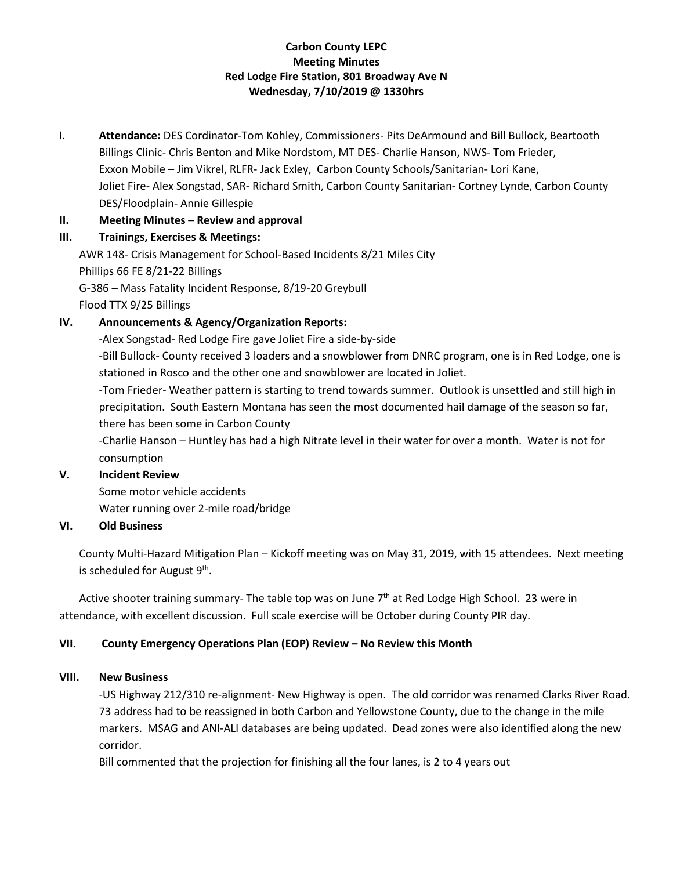# **Carbon County LEPC Meeting Minutes Red Lodge Fire Station, 801 Broadway Ave N Wednesday, 7/10/2019 @ 1330hrs**

I. **Attendance:** DES Cordinator-Tom Kohley, Commissioners- Pits DeArmound and Bill Bullock, Beartooth Billings Clinic- Chris Benton and Mike Nordstom, MT DES- Charlie Hanson, NWS- Tom Frieder, Exxon Mobile – Jim Vikrel, RLFR- Jack Exley, Carbon County Schools/Sanitarian- Lori Kane, Joliet Fire- Alex Songstad, SAR- Richard Smith, Carbon County Sanitarian- Cortney Lynde, Carbon County DES/Floodplain- Annie Gillespie

### **II. Meeting Minutes – Review and approval**

### **III. Trainings, Exercises & Meetings:**

AWR 148- Crisis Management for School-Based Incidents 8/21 Miles City Phillips 66 FE 8/21-22 Billings G-386 – Mass Fatality Incident Response, 8/19-20 Greybull

Flood TTX 9/25 Billings

## **IV. Announcements & Agency/Organization Reports:**

-Alex Songstad- Red Lodge Fire gave Joliet Fire a side-by-side

-Bill Bullock- County received 3 loaders and a snowblower from DNRC program, one is in Red Lodge, one is stationed in Rosco and the other one and snowblower are located in Joliet.

-Tom Frieder- Weather pattern is starting to trend towards summer. Outlook is unsettled and still high in precipitation. South Eastern Montana has seen the most documented hail damage of the season so far, there has been some in Carbon County

-Charlie Hanson – Huntley has had a high Nitrate level in their water for over a month. Water is not for consumption

#### **V. Incident Review**

Some motor vehicle accidents Water running over 2-mile road/bridge

#### **VI. Old Business**

County Multi-Hazard Mitigation Plan – Kickoff meeting was on May 31, 2019, with 15 attendees. Next meeting is scheduled for August 9<sup>th</sup>.

Active shooter training summary- The table top was on June  $7<sup>th</sup>$  at Red Lodge High School. 23 were in attendance, with excellent discussion. Full scale exercise will be October during County PIR day.

## **VII. County Emergency Operations Plan (EOP) Review – No Review this Month**

#### **VIII. New Business**

-US Highway 212/310 re-alignment- New Highway is open. The old corridor was renamed Clarks River Road. 73 address had to be reassigned in both Carbon and Yellowstone County, due to the change in the mile markers. MSAG and ANI-ALI databases are being updated. Dead zones were also identified along the new corridor.

Bill commented that the projection for finishing all the four lanes, is 2 to 4 years out